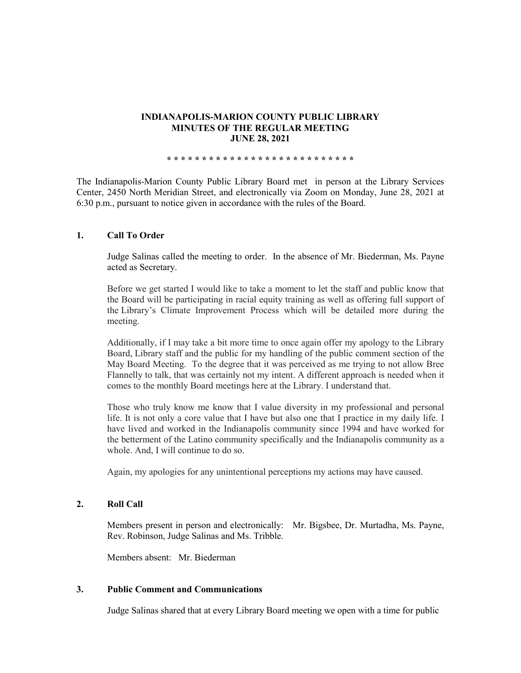#### **INDIANAPOLIS-MARION COUNTY PUBLIC LIBRARY MINUTES OF THE REGULAR MEETING JUNE 28, 2021**

**\* \* \* \* \* \* \* \* \* \* \* \* \* \* \* \* \* \* \* \* \* \* \* \* \* \* \***

The Indianapolis-Marion County Public Library Board met in person at the Library Services Center, 2450 North Meridian Street, and electronically via Zoom on Monday, June 28, 2021 at 6:30 p.m., pursuant to notice given in accordance with the rules of the Board.

### **1. Call To Order**

Judge Salinas called the meeting to order. In the absence of Mr. Biederman, Ms. Payne acted as Secretary.

Before we get started I would like to take a moment to let the staff and public know that the Board will be participating in racial equity training as well as offering full support of the Library's Climate Improvement Process which will be detailed more during the meeting.

Additionally, if I may take a bit more time to once again offer my apology to the Library Board, Library staff and the public for my handling of the public comment section of the May Board Meeting. To the degree that it was perceived as me trying to not allow Bree Flannelly to talk, that was certainly not my intent. A different approach is needed when it comes to the monthly Board meetings here at the Library. I understand that.

Those who truly know me know that I value diversity in my professional and personal life. It is not only a core value that I have but also one that I practice in my daily life. I have lived and worked in the Indianapolis community since 1994 and have worked for the betterment of the Latino community specifically and the Indianapolis community as a whole. And, I will continue to do so.

Again, my apologies for any unintentional perceptions my actions may have caused.

### **2. Roll Call**

Members present in person and electronically: Mr. Bigsbee, Dr. Murtadha, Ms. Payne, Rev. Robinson, Judge Salinas and Ms. Tribble.

Members absent: Mr. Biederman

#### **3. Public Comment and Communications**

Judge Salinas shared that at every Library Board meeting we open with a time for public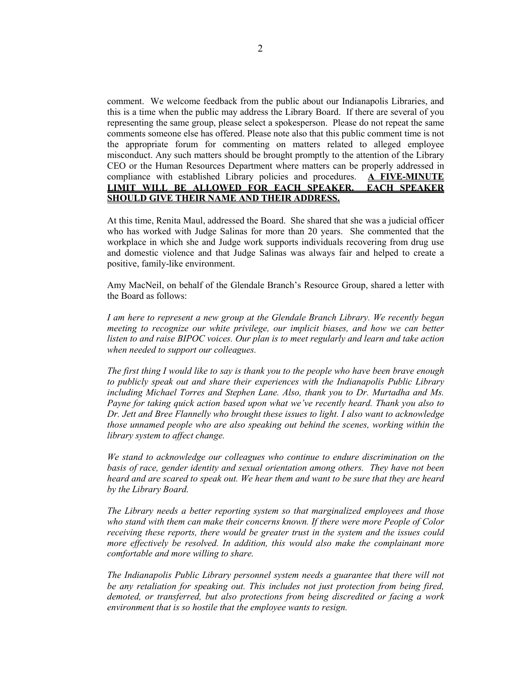comment. We welcome feedback from the public about our Indianapolis Libraries, and this is a time when the public may address the Library Board. If there are several of you representing the same group, please select a spokesperson. Please do not repeat the same comments someone else has offered. Please note also that this public comment time is not the appropriate forum for commenting on matters related to alleged employee misconduct. Any such matters should be brought promptly to the attention of the Library CEO or the Human Resources Department where matters can be properly addressed in compliance with established Library policies and procedures. **A FIVE-MINUTE LIMIT WILL BE ALLOWED FOR EACH SPEAKER. EACH SPEAKER SHOULD GIVE THEIR NAME AND THEIR ADDRESS.** 

At this time, Renita Maul, addressed the Board. She shared that she was a judicial officer who has worked with Judge Salinas for more than 20 years. She commented that the workplace in which she and Judge work supports individuals recovering from drug use and domestic violence and that Judge Salinas was always fair and helped to create a positive, family-like environment.

Amy MacNeil, on behalf of the Glendale Branch's Resource Group, shared a letter with the Board as follows:

*I am here to represent a new group at the Glendale Branch Library. We recently began*  meeting to recognize our white privilege, our implicit biases, and how we can better *listen to and raise BIPOC voices. Our plan is to meet regularly and learn and take action when needed to support our colleagues.* 

*The first thing I would like to say is thank you to the people who have been brave enough to publicly speak out and share their experiences with the Indianapolis Public Library including Michael Torres and Stephen Lane. Also, thank you to Dr. Murtadha and Ms. Payne for taking quick action based upon what we've recently heard. Thank you also to Dr. Jett and Bree Flannelly who brought these issues to light. I also want to acknowledge those unnamed people who are also speaking out behind the scenes, working within the library system to affect change.*

*We stand to acknowledge our colleagues who continue to endure discrimination on the basis of race, gender identity and sexual orientation among others. They have not been heard and are scared to speak out. We hear them and want to be sure that they are heard by the Library Board.*

*The Library needs a better reporting system so that marginalized employees and those who stand with them can make their concerns known. If there were more People of Color receiving these reports, there would be greater trust in the system and the issues could more effectively be resolved. In addition, this would also make the complainant more comfortable and more willing to share.*

*The Indianapolis Public Library personnel system needs a guarantee that there will not be any retaliation for speaking out. This includes not just protection from being fired, demoted, or transferred, but also protections from being discredited or facing a work environment that is so hostile that the employee wants to resign.*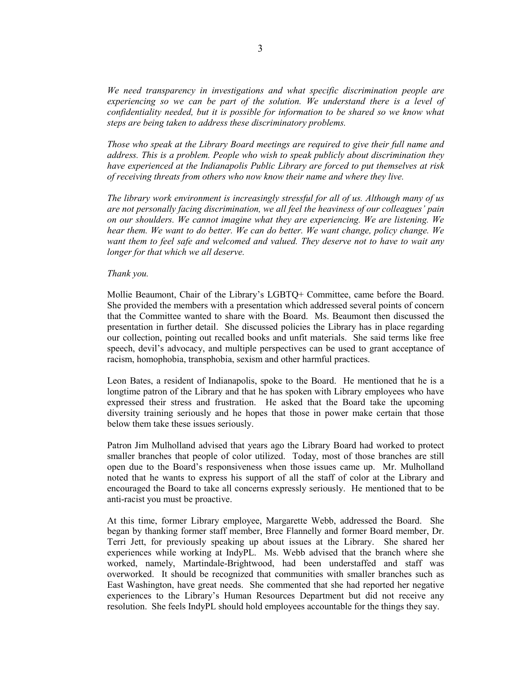*We need transparency in investigations and what specific discrimination people are experiencing so we can be part of the solution. We understand there is a level of confidentiality needed, but it is possible for information to be shared so we know what steps are being taken to address these discriminatory problems.*

*Those who speak at the Library Board meetings are required to give their full name and address. This is a problem. People who wish to speak publicly about discrimination they have experienced at the Indianapolis Public Library are forced to put themselves at risk of receiving threats from others who now know their name and where they live.* 

*The library work environment is increasingly stressful for all of us. Although many of us are not personally facing discrimination, we all feel the heaviness of our colleagues' pain on our shoulders. We cannot imagine what they are experiencing. We are listening. We hear them. We want to do better. We can do better. We want change, policy change. We want them to feel safe and welcomed and valued. They deserve not to have to wait any longer for that which we all deserve.*

#### *Thank you.*

Mollie Beaumont, Chair of the Library's LGBTQ+ Committee, came before the Board. She provided the members with a presentation which addressed several points of concern that the Committee wanted to share with the Board. Ms. Beaumont then discussed the presentation in further detail. She discussed policies the Library has in place regarding our collection, pointing out recalled books and unfit materials. She said terms like free speech, devil's advocacy, and multiple perspectives can be used to grant acceptance of racism, homophobia, transphobia, sexism and other harmful practices.

Leon Bates, a resident of Indianapolis, spoke to the Board. He mentioned that he is a longtime patron of the Library and that he has spoken with Library employees who have expressed their stress and frustration. He asked that the Board take the upcoming diversity training seriously and he hopes that those in power make certain that those below them take these issues seriously.

Patron Jim Mulholland advised that years ago the Library Board had worked to protect smaller branches that people of color utilized. Today, most of those branches are still open due to the Board's responsiveness when those issues came up. Mr. Mulholland noted that he wants to express his support of all the staff of color at the Library and encouraged the Board to take all concerns expressly seriously. He mentioned that to be anti-racist you must be proactive.

At this time, former Library employee, Margarette Webb, addressed the Board. She began by thanking former staff member, Bree Flannelly and former Board member, Dr. Terri Jett, for previously speaking up about issues at the Library. She shared her experiences while working at IndyPL. Ms. Webb advised that the branch where she worked, namely, Martindale-Brightwood, had been understaffed and staff was overworked. It should be recognized that communities with smaller branches such as East Washington, have great needs. She commented that she had reported her negative experiences to the Library's Human Resources Department but did not receive any resolution. She feels IndyPL should hold employees accountable for the things they say.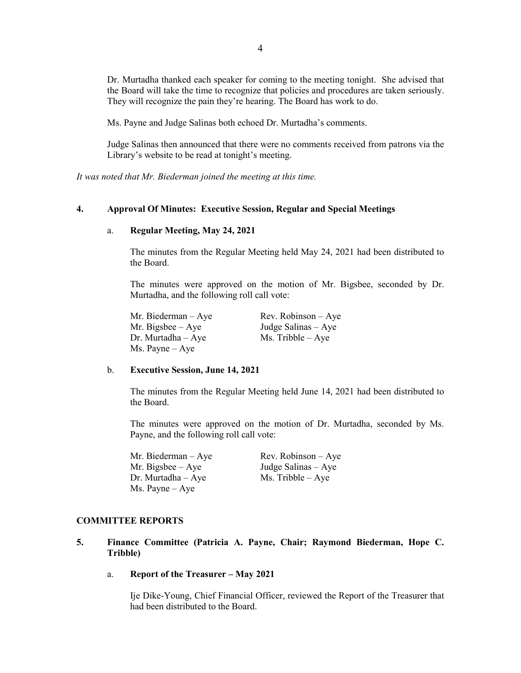Dr. Murtadha thanked each speaker for coming to the meeting tonight. She advised that the Board will take the time to recognize that policies and procedures are taken seriously. They will recognize the pain they're hearing. The Board has work to do.

Ms. Payne and Judge Salinas both echoed Dr. Murtadha's comments.

Judge Salinas then announced that there were no comments received from patrons via the Library's website to be read at tonight's meeting.

*It was noted that Mr. Biederman joined the meeting at this time.* 

#### **4. Approval Of Minutes: Executive Session, Regular and Special Meetings**

#### a. **Regular Meeting, May 24, 2021**

The minutes from the Regular Meeting held May 24, 2021 had been distributed to the Board.

The minutes were approved on the motion of Mr. Bigsbee, seconded by Dr. Murtadha, and the following roll call vote:

Mr. Biederman – Aye Rev. Robinson – Aye  $Dr.$  Murtadha – Aye Ms. Tribble – Aye Ms. Payne – Aye

Mr. Bigsbee – Aye Judge Salinas – Aye

#### b. **Executive Session, June 14, 2021**

The minutes from the Regular Meeting held June 14, 2021 had been distributed to the Board.

The minutes were approved on the motion of Dr. Murtadha, seconded by Ms. Payne, and the following roll call vote:

| Mr. Biederman – Aye | $Rev. Robinson - Aye$ |
|---------------------|-----------------------|
| Mr. Bigsbee – Aye   | Judge Salinas $-$ Aye |
| Dr. Murtadha – Aye  | $Ms.$ Tribble $-$ Aye |
| Ms. Payne – Aye     |                       |

#### **COMMITTEE REPORTS**

- **5. Finance Committee (Patricia A. Payne, Chair; Raymond Biederman, Hope C. Tribble)**
	- a. **Report of the Treasurer – May 2021**

Ije Dike-Young, Chief Financial Officer, reviewed the Report of the Treasurer that had been distributed to the Board.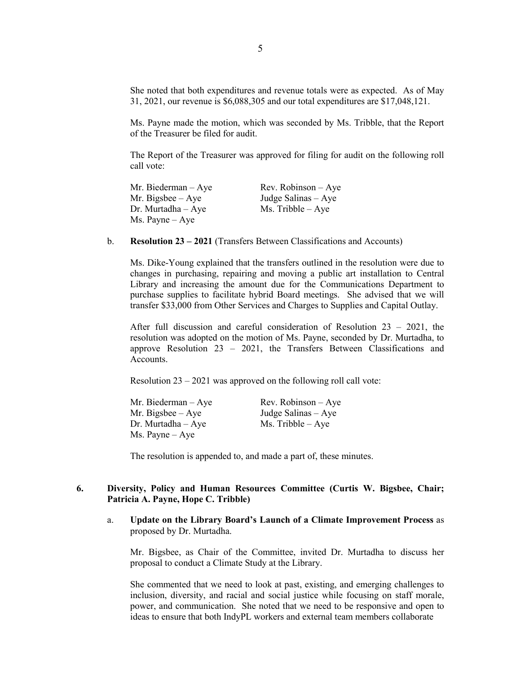She noted that both expenditures and revenue totals were as expected. As of May 31, 2021, our revenue is \$6,088,305 and our total expenditures are \$17,048,121.

Ms. Payne made the motion, which was seconded by Ms. Tribble, that the Report of the Treasurer be filed for audit.

The Report of the Treasurer was approved for filing for audit on the following roll call vote:

| Mr. Biederman $-$ Aye    | Rev. Robinson $-$ Aye |
|--------------------------|-----------------------|
| Mr. Bigsbee $-$ Aye      | Judge Salinas $-$ Aye |
| $Dr.$ Murtadha $-Aye$    | $Ms.$ Tribble $-$ Aye |
| $Ms. \text{Payne} - Aye$ |                       |

b. **Resolution 23 – 2021** (Transfers Between Classifications and Accounts)

Ms. Dike-Young explained that the transfers outlined in the resolution were due to changes in purchasing, repairing and moving a public art installation to Central Library and increasing the amount due for the Communications Department to purchase supplies to facilitate hybrid Board meetings. She advised that we will transfer \$33,000 from Other Services and Charges to Supplies and Capital Outlay.

After full discussion and careful consideration of Resolution 23 – 2021, the resolution was adopted on the motion of Ms. Payne, seconded by Dr. Murtadha, to approve Resolution 23 – 2021, the Transfers Between Classifications and Accounts.

Resolution 23 – 2021 was approved on the following roll call vote:

| Mr. Biederman $-$ Aye  | Rev. Robinson $-$ Aye |
|------------------------|-----------------------|
| Mr. Bigsbee $-$ Aye    | Judge Salinas $-$ Aye |
| $Dr.$ Murtadha $-$ Aye | $Ms.$ Tribble $-$ Aye |
| Ms. Payne – Aye        |                       |

The resolution is appended to, and made a part of, these minutes.

# **6. Diversity, Policy and Human Resources Committee (Curtis W. Bigsbee, Chair; Patricia A. Payne, Hope C. Tribble)**

a. **Update on the Library Board's Launch of a Climate Improvement Process** as proposed by Dr. Murtadha.

Mr. Bigsbee, as Chair of the Committee, invited Dr. Murtadha to discuss her proposal to conduct a Climate Study at the Library.

She commented that we need to look at past, existing, and emerging challenges to inclusion, diversity, and racial and social justice while focusing on staff morale, power, and communication. She noted that we need to be responsive and open to ideas to ensure that both IndyPL workers and external team members collaborate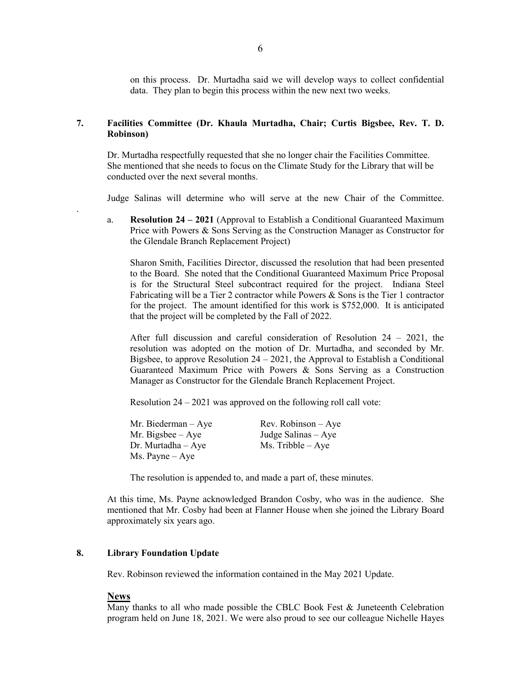on this process. Dr. Murtadha said we will develop ways to collect confidential data. They plan to begin this process within the new next two weeks.

# **7. Facilities Committee (Dr. Khaula Murtadha, Chair; Curtis Bigsbee, Rev. T. D. Robinson)**

Dr. Murtadha respectfully requested that she no longer chair the Facilities Committee. She mentioned that she needs to focus on the Climate Study for the Library that will be conducted over the next several months.

Judge Salinas will determine who will serve at the new Chair of the Committee.

a. **Resolution 24 – 2021** (Approval to Establish a Conditional Guaranteed Maximum Price with Powers & Sons Serving as the Construction Manager as Constructor for the Glendale Branch Replacement Project)

Sharon Smith, Facilities Director, discussed the resolution that had been presented to the Board. She noted that the Conditional Guaranteed Maximum Price Proposal is for the Structural Steel subcontract required for the project. Indiana Steel Fabricating will be a Tier 2 contractor while Powers  $\&$  Sons is the Tier 1 contractor for the project. The amount identified for this work is \$752,000. It is anticipated that the project will be completed by the Fall of 2022.

After full discussion and careful consideration of Resolution 24 – 2021, the resolution was adopted on the motion of Dr. Murtadha, and seconded by Mr. Bigsbee, to approve Resolution  $24 - 2021$ , the Approval to Establish a Conditional Guaranteed Maximum Price with Powers & Sons Serving as a Construction Manager as Constructor for the Glendale Branch Replacement Project.

Resolution 24 – 2021 was approved on the following roll call vote:

| Mr. Biederman – Aye | $Rev. Robinson - Aye$ |
|---------------------|-----------------------|
| Mr. Bigsbee – Aye   | Judge Salinas $-$ Aye |
| Dr. Murtadha – Aye  | $Ms.$ Tribble $-$ Aye |
| Ms. Payne – Aye     |                       |

The resolution is appended to, and made a part of, these minutes.

At this time, Ms. Payne acknowledged Brandon Cosby, who was in the audience. She mentioned that Mr. Cosby had been at Flanner House when she joined the Library Board approximately six years ago.

# **8. Library Foundation Update**

Rev. Robinson reviewed the information contained in the May 2021 Update.

# **News**

.

Many thanks to all who made possible the CBLC Book Fest  $\&$  Juneteenth Celebration program held on June 18, 2021. We were also proud to see our colleague Nichelle Hayes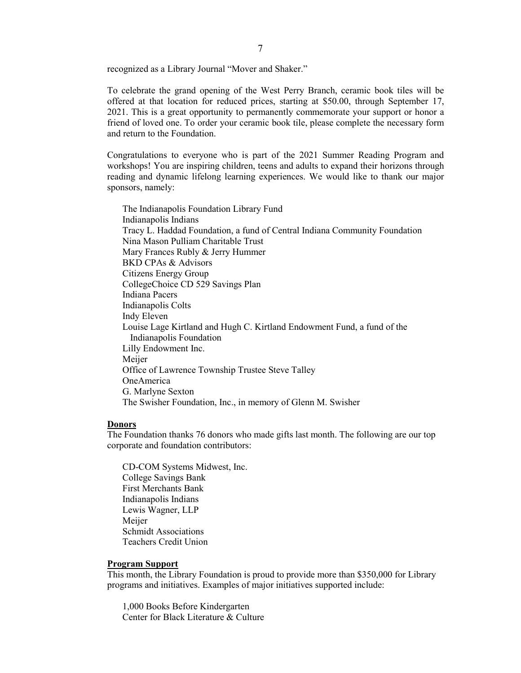recognized as a Library Journal "Mover and Shaker."

To celebrate the grand opening of the West Perry Branch, ceramic book tiles will be offered at that location for reduced prices, starting at \$50.00, through September 17, 2021. This is a great opportunity to permanently commemorate your support or honor a friend of loved one. To order your ceramic book tile, please complete the necessary form and return to the Foundation.

Congratulations to everyone who is part of the 2021 Summer Reading Program and workshops! You are inspiring children, teens and adults to expand their horizons through reading and dynamic lifelong learning experiences. We would like to thank our major sponsors, namely:

The Indianapolis Foundation Library Fund Indianapolis Indians Tracy L. Haddad Foundation, a fund of Central Indiana Community Foundation Nina Mason Pulliam Charitable Trust Mary Frances Rubly & Jerry Hummer BKD CPAs & Advisors Citizens Energy Group CollegeChoice CD 529 Savings Plan Indiana Pacers Indianapolis Colts Indy Eleven Louise Lage Kirtland and Hugh C. Kirtland Endowment Fund, a fund of the Indianapolis Foundation Lilly Endowment Inc. Meijer Office of Lawrence Township Trustee Steve Talley OneAmerica G. Marlyne Sexton The Swisher Foundation, Inc., in memory of Glenn M. Swisher

#### **Donors**

The Foundation thanks 76 donors who made gifts last month. The following are our top corporate and foundation contributors:

CD-COM Systems Midwest, Inc. College Savings Bank First Merchants Bank Indianapolis Indians Lewis Wagner, LLP Meijer Schmidt Associations Teachers Credit Union

#### **Program Support**

This month, the Library Foundation is proud to provide more than \$350,000 for Library programs and initiatives. Examples of major initiatives supported include:

1,000 Books Before Kindergarten Center for Black Literature & Culture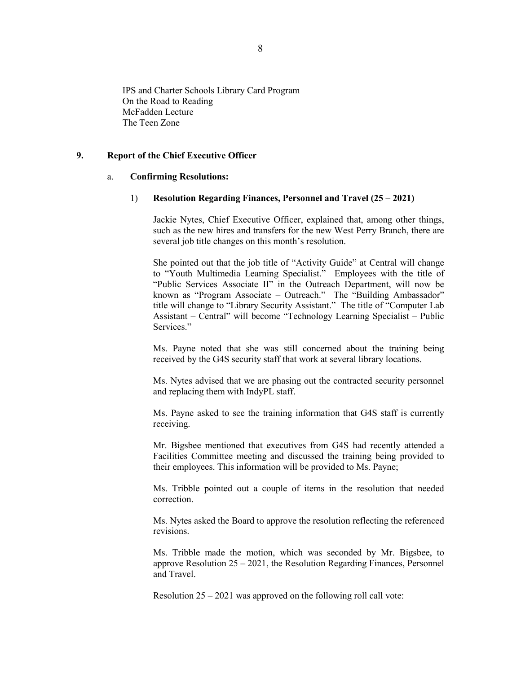IPS and Charter Schools Library Card Program On the Road to Reading McFadden Lecture The Teen Zone

### **9. Report of the Chief Executive Officer**

#### a. **Confirming Resolutions:**

#### 1) **Resolution Regarding Finances, Personnel and Travel (25 – 2021)**

Jackie Nytes, Chief Executive Officer, explained that, among other things, such as the new hires and transfers for the new West Perry Branch, there are several job title changes on this month's resolution.

She pointed out that the job title of "Activity Guide" at Central will change to "Youth Multimedia Learning Specialist." Employees with the title of "Public Services Associate II" in the Outreach Department, will now be known as "Program Associate – Outreach." The "Building Ambassador" title will change to "Library Security Assistant." The title of "Computer Lab Assistant – Central" will become "Technology Learning Specialist – Public Services."

Ms. Payne noted that she was still concerned about the training being received by the G4S security staff that work at several library locations.

Ms. Nytes advised that we are phasing out the contracted security personnel and replacing them with IndyPL staff.

Ms. Payne asked to see the training information that G4S staff is currently receiving.

Mr. Bigsbee mentioned that executives from G4S had recently attended a Facilities Committee meeting and discussed the training being provided to their employees. This information will be provided to Ms. Payne;

Ms. Tribble pointed out a couple of items in the resolution that needed correction.

Ms. Nytes asked the Board to approve the resolution reflecting the referenced revisions.

Ms. Tribble made the motion, which was seconded by Mr. Bigsbee, to approve Resolution 25 – 2021, the Resolution Regarding Finances, Personnel and Travel.

Resolution 25 – 2021 was approved on the following roll call vote: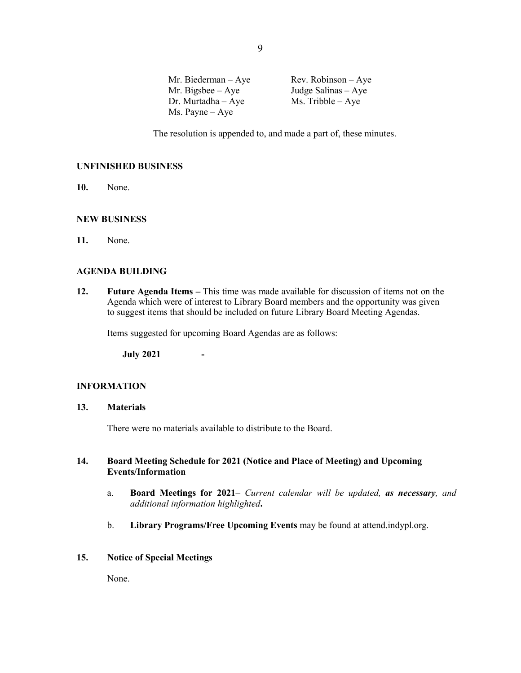Mr. Biederman – Aye Rev. Robinson – Aye Mr. Bigsbee – Aye Judge Salinas – Aye Dr. Murtadha – Aye  $Ms$ . Tribble – Aye Ms. Payne – Aye

The resolution is appended to, and made a part of, these minutes.

### **UNFINISHED BUSINESS**

**10.** None.

### **NEW BUSINESS**

**11.** None.

### **AGENDA BUILDING**

**12. Future Agenda Items –** This time was made available for discussion of items not on the Agenda which were of interest to Library Board members and the opportunity was given to suggest items that should be included on future Library Board Meeting Agendas.

Items suggested for upcoming Board Agendas are as follows:

**July 2021 -**

#### **INFORMATION**

### **13. Materials**

There were no materials available to distribute to the Board.

### **14. Board Meeting Schedule for 2021 (Notice and Place of Meeting) and Upcoming Events/Information**

- a. **Board Meetings for 2021***– Current calendar will be updated, as necessary, and additional information highlighted***.**
- b. **Library Programs/Free Upcoming Events** may be found at attend.indypl.org.

#### **15. Notice of Special Meetings**

None.